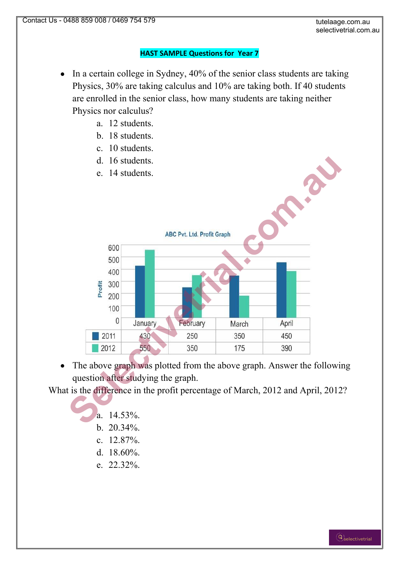## **HAST SAMPLE Questions for Year 7**

- In a certain college in Sydney, 40% of the senior class students are taking  $\bullet$ Physics, 30% are taking calculus and 10% are taking both. If 40 students are enrolled in the senior class, how many students are taking neither Physics nor calculus?
	- a. 12 students.
	- b. 18 students.
	- c. 10 students.
	- d. 16 students.
	- e. 14 students.



The above graph was plotted from the above graph. Answer the following  $\bullet$ question after studying the graph.

What is the difference in the profit percentage of March, 2012 and April, 2012?

- a.  $14.53\%$
- b. 20.34%.
- c. 12.87%.
- d. 18.60%.
- e. 22.32%.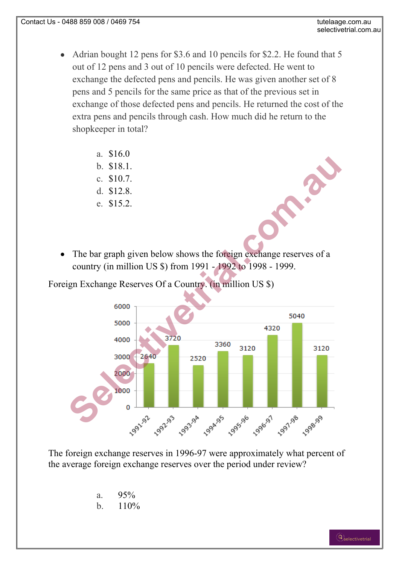- Adrian bought 12 pens for \$3.6 and 10 pencils for \$2.2. He found that 5 out of 12 pens and 3 out of 10 pencils were defected. He went to exchange the defected pens and pencils. He was given another set of 8 pens and 5 pencils for the same price as that of the previous set in exchange of those defected pens and pencils. He returned the cost of the extra pens and pencils through cash. How much did he return to the shopkeeper in total?
	- a. \$16.0
	- b. \$18.1.
	- c. \$10.7.
	- d. \$12.8.
	- e. \$15.2.
- The bar graph given below shows the foreign exchange reserves of a  $\bullet$ country (in million US \$) from 1991 - 1992 to 1998 - 1999.

Foreign Exchange Reserves Of a Country. (in million US \$)



The foreign exchange reserves in 1996-97 were approximately what percent of the average foreign exchange reserves over the period under review?

- a. 95%
- b.  $110\%$